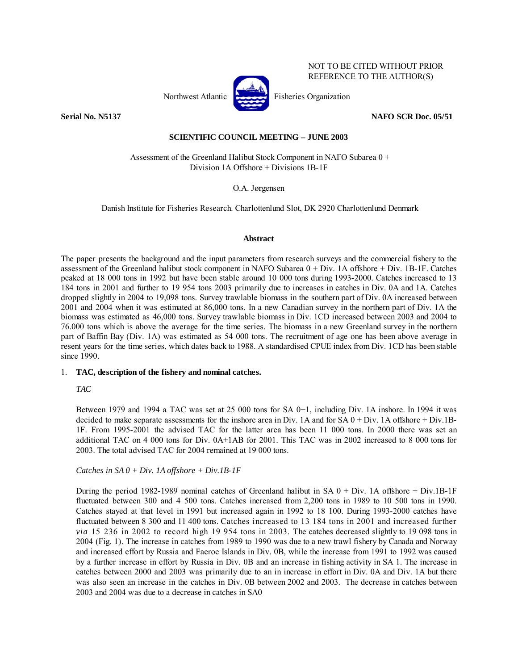

NOT TO BE CITED WITHOUT PRIOR REFERENCE TO THE AUTHOR(S)

**Serial No. N5137 NAFO SCR Doc. 05/51** 

# **SCIENTIFIC COUNCIL MEETING – JUNE 2003**

 Assessment of the Greenland Halibut Stock Component in NAFO Subarea 0 + Division 1A Offshore + Divisions 1B-1F

O.A. Jørgensen

Danish Institute for Fisheries Research. Charlottenlund Slot, DK 2920 Charlottenlund Denmark

# **Abstract**

The paper presents the background and the input parameters from research surveys and the commercial fishery to the assessment of the Greenland halibut stock component in NAFO Subarea 0 + Div. 1A offshore + Div. 1B-1F. Catches peaked at 18 000 tons in 1992 but have been stable around 10 000 tons during 1993-2000. Catches increased to 13 184 tons in 2001 and further to 19 954 tons 2003 primarily due to increases in catches in Div. 0A and 1A. Catches dropped slightly in 2004 to 19,098 tons. Survey trawlable biomass in the southern part of Div. 0A increased between 2001 and 2004 when it was estimated at 86,000 tons. In a new Canadian survey in the northern part of Div. 1A the biomass was estimated as 46,000 tons. Survey trawlable biomass in Div. 1CD increased between 2003 and 2004 to 76.000 tons which is above the average for the time series. The biomass in a new Greenland survey in the northern part of Baffin Bay (Div. 1A) was estimated as 54 000 tons. The recruitment of age one has been above average in resent years for the time series, which dates back to 1988. A standardised CPUE index from Div. 1CD has been stable since 1990.

# 1. **TAC, description of the fishery and nominal catches.**

# *TAC*

Between 1979 and 1994 a TAC was set at 25 000 tons for SA 0+1, including Div. 1A inshore. In 1994 it was decided to make separate assessments for the inshore area in Div. 1A and for SA  $0 + Div. 1A$  offshore  $+ Div. 1B$ -1F. From 1995-2001 the advised TAC for the latter area has been 11 000 tons. In 2000 there was set an additional TAC on 4 000 tons for Div. 0A+1AB for 2001. This TAC was in 2002 increased to 8 000 tons for 2003. The total advised TAC for 2004 remained at 19 000 tons.

# *Catches in SA 0 + Div. 1A offshore + Div.1B-1F*

During the period 1982-1989 nominal catches of Greenland halibut in SA  $0 + Div. 1A$  offshore + Div.1B-1F fluctuated between 300 and 4 500 tons. Catches increased from 2,200 tons in 1989 to 10 500 tons in 1990. Catches stayed at that level in 1991 but increased again in 1992 to 18 100. During 1993-2000 catches have fluctuated between 8 300 and 11 400 tons. Catches increased to 13 184 tons in 2001 and increased further *via* 15 236 in 2002 to record high 19 954 tons in 2003. The catches decreased slightly to 19 098 tons in 2004 (Fig. 1). The increase in catches from 1989 to 1990 was due to a new trawl fishery by Canada and Norway and increased effort by Russia and Faeroe Islands in Div. 0B, while the increase from 1991 to 1992 was caused by a further increase in effort by Russia in Div. 0B and an increase in fishing activity in SA 1. The increase in catches between 2000 and 2003 was primarily due to an in increase in effort in Div. 0A and Div. 1A but there was also seen an increase in the catches in Div. 0B between 2002 and 2003. The decrease in catches between 2003 and 2004 was due to a decrease in catches in SA0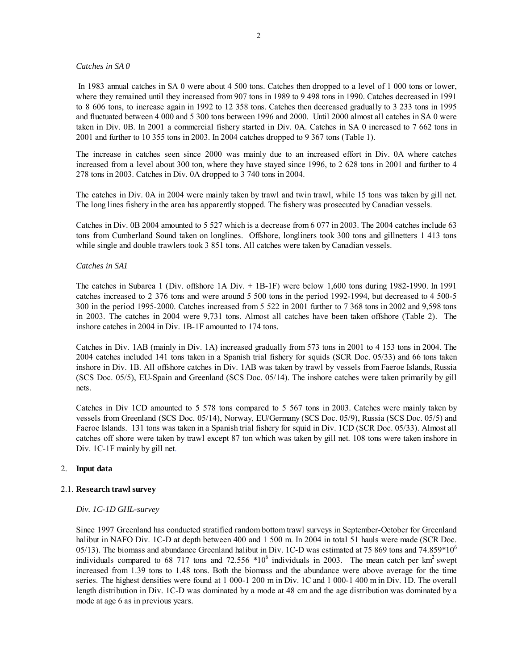#### *Catches in SA 0*

 In 1983 annual catches in SA 0 were about 4 500 tons. Catches then dropped to a level of 1 000 tons or lower, where they remained until they increased from 907 tons in 1989 to 9 498 tons in 1990. Catches decreased in 1991 to 8 606 tons, to increase again in 1992 to 12 358 tons. Catches then decreased gradually to 3 233 tons in 1995 and fluctuated between 4 000 and 5 300 tons between 1996 and 2000. Until 2000 almost all catches in SA 0 were taken in Div. 0B. In 2001 a commercial fishery started in Div. 0A. Catches in SA 0 increased to 7 662 tons in 2001 and further to 10 355 tons in 2003. In 2004 catches dropped to 9 367 tons (Table 1).

The increase in catches seen since 2000 was mainly due to an increased effort in Div. 0A where catches increased from a level about 300 ton, where they have stayed since 1996, to 2 628 tons in 2001 and further to 4 278 tons in 2003. Catches in Div. 0A dropped to 3 740 tons in 2004.

The catches in Div. 0A in 2004 were mainly taken by trawl and twin trawl, while 15 tons was taken by gill net. The long lines fishery in the area has apparently stopped. The fishery was prosecuted by Canadian vessels.

Catches in Div. 0B 2004 amounted to 5 527 which is a decrease from 6 077 in 2003. The 2004 catches include 63 tons from Cumberland Sound taken on longlines. Offshore, longliners took 300 tons and gillnetters 1 413 tons while single and double trawlers took 3 851 tons. All catches were taken by Canadian vessels.

## *Catches in SA1*

The catches in Subarea 1 (Div. offshore 1A Div. + 1B-1F) were below 1,600 tons during 1982-1990. In 1991 catches increased to 2 376 tons and were around 5 500 tons in the period 1992-1994, but decreased to 4 500-5 300 in the period 1995-2000. Catches increased from 5 522 in 2001 further to 7 368 tons in 2002 and 9,598 tons in 2003. The catches in 2004 were 9,731 tons. Almost all catches have been taken offshore (Table 2). The inshore catches in 2004 in Div. 1B-1F amounted to 174 tons.

Catches in Div. 1AB (mainly in Div. 1A) increased gradually from 573 tons in 2001 to 4 153 tons in 2004. The 2004 catches included 141 tons taken in a Spanish trial fishery for squids (SCR Doc. 05/33) and 66 tons taken inshore in Div. 1B. All offshore catches in Div. 1AB was taken by trawl by vessels from Faeroe Islands, Russia (SCS Doc. 05/5), EU-Spain and Greenland (SCS Doc. 05/14). The inshore catches were taken primarily by gill nets.

Catches in Div 1CD amounted to 5 578 tons compared to 5 567 tons in 2003. Catches were mainly taken by vessels from Greenland (SCS Doc. 05/14), Norway, EU/Germany (SCS Doc. 05/9), Russia (SCS Doc. 05/5) and Faeroe Islands. 131 tons was taken in a Spanish trial fishery for squid in Div. 1CD (SCR Doc. 05/33). Almost all catches off shore were taken by trawl except 87 ton which was taken by gill net. 108 tons were taken inshore in Div. 1C-1F mainly by gill net.

#### 2. **Input data**

## 2.1. **Research trawl survey**

#### *Div. 1C-1D GHL-survey*

Since 1997 Greenland has conducted stratified random bottom trawl surveys in September-October for Greenland halibut in NAFO Div. 1C-D at depth between 400 and 1 500 m. In 2004 in total 51 hauls were made (SCR Doc. 05/13). The biomass and abundance Greenland halibut in Div. 1C-D was estimated at 75 869 tons and 74.859\*10<sup>6</sup> individuals compared to 68 717 tons and 72.556  $*10^6$  individuals in 2003. The mean catch per km<sup>2</sup> swept increased from 1.39 tons to 1.48 tons. Both the biomass and the abundance were above average for the time series. The highest densities were found at 1 000-1 200 m in Div. 1C and 1 000-1 400 m in Div. 1D. The overall length distribution in Div. 1C-D was dominated by a mode at 48 cm and the age distribution was dominated by a mode at age 6 as in previous years.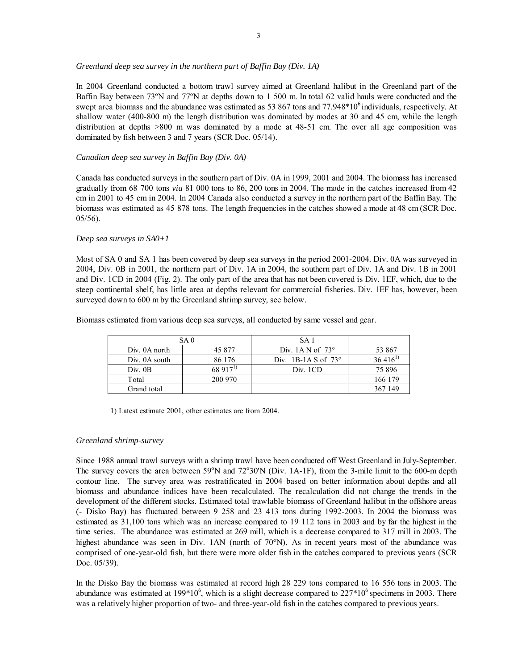## *Greenland deep sea survey in the northern part of Baffin Bay (Div. 1A)*

In 2004 Greenland conducted a bottom trawl survey aimed at Greenland halibut in the Greenland part of the Baffin Bay between 73ºN and 77ºN at depths down to 1 500 m. In total 62 valid hauls were conducted and the swept area biomass and the abundance was estimated as  $53\,867$  tons and  $77.948*10^6$  individuals, respectively. At shallow water (400-800 m) the length distribution was dominated by modes at 30 and 45 cm, while the length distribution at depths >800 m was dominated by a mode at 48-51 cm. The over all age composition was dominated by fish between 3 and 7 years (SCR Doc. 05/14).

## *Canadian deep sea survey in Baffin Bay (Div. 0A)*

Canada has conducted surveys in the southern part of Div. 0A in 1999, 2001 and 2004. The biomass has increased gradually from 68 700 tons *via* 81 000 tons to 86, 200 tons in 2004. The mode in the catches increased from 42 cm in 2001 to 45 cm in 2004. In 2004 Canada also conducted a survey in the northern part of the Baffin Bay. The biomass was estimated as 45 878 tons. The length frequencies in the catches showed a mode at 48 cm (SCR Doc. 05/56).

## *Deep sea surveys in SA0+1*

Most of SA 0 and SA 1 has been covered by deep sea surveys in the period 2001-2004. Div. 0A was surveyed in 2004, Div. 0B in 2001, the northern part of Div. 1A in 2004, the southern part of Div. 1A and Div. 1B in 2001 and Div. 1CD in 2004 (Fig. 2). The only part of the area that has not been covered is Div. 1EF, which, due to the steep continental shelf, has little area at depths relevant for commercial fisheries. Div. 1EF has, however, been surveyed down to 600 m by the Greenland shrimp survey, see below.

Biomass estimated from various deep sea surveys, all conducted by same vessel and gear.

|               | SA 0        | SA 1                       |              |
|---------------|-------------|----------------------------|--------------|
| Div. 0A north | 45 877      | Div. 1A N of $73^{\circ}$  | 53 867       |
| Div. 0A south | 86 176      | Div. 1B-1A S of $73^\circ$ | $36,416^{1}$ |
| Div. 0B       | $68917^{1}$ | Div. 1CD                   | 75 896       |
| Total         | 200 970     |                            | 166 179      |
| Grand total   |             |                            | 367 149      |

1) Latest estimate 2001, other estimates are from 2004.

## *Greenland shrimp-survey*

Since 1988 annual trawl surveys with a shrimp trawl have been conducted off West Greenland in July-September. The survey covers the area between 59°N and 72°30'N (Div. 1A-1F), from the 3-mile limit to the 600-m depth contour line. The survey area was restratificated in 2004 based on better information about depths and all biomass and abundance indices have been recalculated. The recalculation did not change the trends in the development of the different stocks. Estimated total trawlable biomass of Greenland halibut in the offshore areas (- Disko Bay) has fluctuated between 9 258 and 23 413 tons during 1992-2003. In 2004 the biomass was estimated as 31,100 tons which was an increase compared to 19 112 tons in 2003 and by far the highest in the time series. The abundance was estimated at 269 mill, which is a decrease compared to 317 mill in 2003. The highest abundance was seen in Div. 1AN (north of 70°N). As in recent years most of the abundance was comprised of one-year-old fish, but there were more older fish in the catches compared to previous years (SCR Doc. 05/39).

In the Disko Bay the biomass was estimated at record high 28 229 tons compared to 16 556 tons in 2003. The abundance was estimated at 199 $*10^6$ , which is a slight decrease compared to  $227*10^6$  specimens in 2003. There was a relatively higher proportion of two- and three-year-old fish in the catches compared to previous years.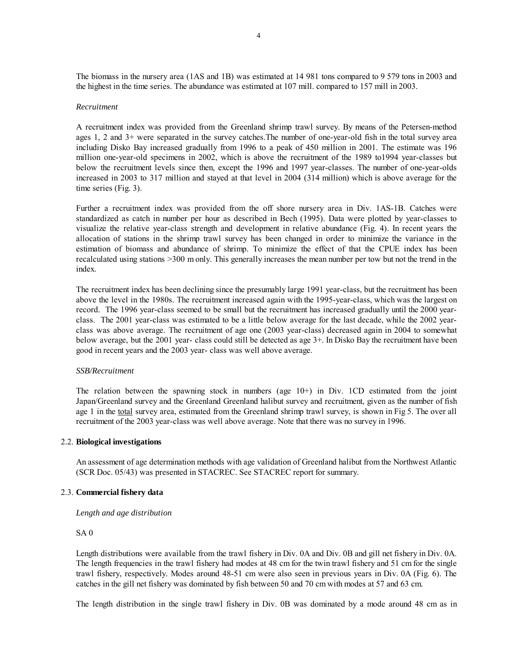The biomass in the nursery area (1AS and 1B) was estimated at 14 981 tons compared to 9 579 tons in 2003 and the highest in the time series. The abundance was estimated at 107 mill. compared to 157 mill in 2003.

## *Recruitment*

A recruitment index was provided from the Greenland shrimp trawl survey. By means of the Petersen-method ages 1, 2 and 3+ were separated in the survey catches.The number of one-year-old fish in the total survey area including Disko Bay increased gradually from 1996 to a peak of 450 million in 2001. The estimate was 196 million one-year-old specimens in 2002, which is above the recruitment of the 1989 to1994 year-classes but below the recruitment levels since then, except the 1996 and 1997 year-classes. The number of one-year-olds increased in 2003 to 317 million and stayed at that level in 2004 (314 million) which is above average for the time series (Fig. 3).

Further a recruitment index was provided from the off shore nursery area in Div. 1AS-1B. Catches were standardized as catch in number per hour as described in Bech (1995). Data were plotted by year-classes to visualize the relative year-class strength and development in relative abundance (Fig. 4). In recent years the allocation of stations in the shrimp trawl survey has been changed in order to minimize the variance in the estimation of biomass and abundance of shrimp. To minimize the effect of that the CPUE index has been recalculated using stations >300 m only. This generally increases the mean number per tow but not the trend in the index.

The recruitment index has been declining since the presumably large 1991 year-class, but the recruitment has been above the level in the 1980s. The recruitment increased again with the 1995-year-class, which was the largest on record. The 1996 year-class seemed to be small but the recruitment has increased gradually until the 2000 yearclass. The 2001 year-class was estimated to be a little below average for the last decade, while the 2002 yearclass was above average. The recruitment of age one (2003 year-class) decreased again in 2004 to somewhat below average, but the 2001 year- class could still be detected as age 3+. In Disko Bay the recruitment have been good in recent years and the 2003 year- class was well above average.

#### *SSB/Recruitment*

The relation between the spawning stock in numbers (age 10+) in Div. 1CD estimated from the joint Japan/Greenland survey and the Greenland Greenland halibut survey and recruitment, given as the number of fish age 1 in the total survey area, estimated from the Greenland shrimp trawl survey, is shown in Fig 5. The over all recruitment of the 2003 year-class was well above average. Note that there was no survey in 1996.

#### 2.2. **Biological investigations**

An assessment of age determination methods with age validation of Greenland halibut from the Northwest Atlantic (SCR Doc. 05/43) was presented in STACREC. See STACREC report for summary.

#### 2.3. **Commercial fishery data**

## *Length and age distribution*

#### SA 0

Length distributions were available from the trawl fishery in Div. 0A and Div. 0B and gill net fishery in Div. 0A. The length frequencies in the trawl fishery had modes at 48 cm for the twin trawl fishery and 51 cm for the single trawl fishery, respectively. Modes around 48-51 cm were also seen in previous years in Div. 0A (Fig. 6). The catches in the gill net fishery was dominated by fish between 50 and 70 cm with modes at 57 and 63 cm.

The length distribution in the single trawl fishery in Div. 0B was dominated by a mode around 48 cm as in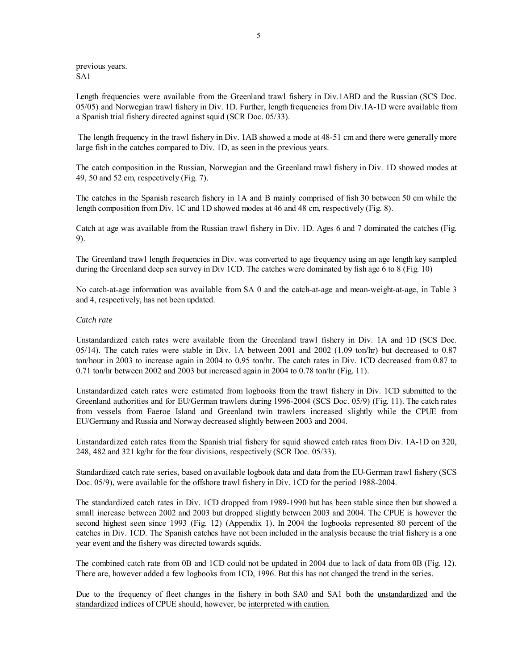previous years. SA1

Length frequencies were available from the Greenland trawl fishery in Div.1ABD and the Russian (SCS Doc. 05/05) and Norwegian trawl fishery in Div. 1D. Further, length frequencies from Div.1A-1D were available from a Spanish trial fishery directed against squid (SCR Doc. 05/33).

 The length frequency in the trawl fishery in Div. 1AB showed a mode at 48-51 cm and there were generally more large fish in the catches compared to Div. 1D, as seen in the previous years.

The catch composition in the Russian, Norwegian and the Greenland trawl fishery in Div. 1D showed modes at 49, 50 and 52 cm, respectively (Fig. 7).

The catches in the Spanish research fishery in 1A and B mainly comprised of fish 30 between 50 cm while the length composition from Div. 1C and 1D showed modes at 46 and 48 cm, respectively (Fig. 8).

Catch at age was available from the Russian trawl fishery in Div. 1D. Ages 6 and 7 dominated the catches (Fig. 9).

The Greenland trawl length frequencies in Div. was converted to age frequency using an age length key sampled during the Greenland deep sea survey in Div 1CD. The catches were dominated by fish age 6 to 8 (Fig. 10)

No catch-at-age information was available from SA 0 and the catch-at-age and mean-weight-at-age, in Table 3 and 4, respectively, has not been updated.

## *Catch rate*

Unstandardized catch rates were available from the Greenland trawl fishery in Div. 1A and 1D (SCS Doc. 05/14). The catch rates were stable in Div. 1A between 2001 and 2002 (1.09 ton/hr) but decreased to 0.87 ton/hour in 2003 to increase again in 2004 to 0.95 ton/hr. The catch rates in Div. 1CD decreased from 0.87 to 0.71 ton/hr between 2002 and 2003 but increased again in 2004 to 0.78 ton/hr (Fig. 11).

Unstandardized catch rates were estimated from logbooks from the trawl fishery in Div. 1CD submitted to the Greenland authorities and for EU/German trawlers during 1996-2004 (SCS Doc. 05/9) (Fig. 11). The catch rates from vessels from Faeroe Island and Greenland twin trawlers increased slightly while the CPUE from EU/Germany and Russia and Norway decreased slightly between 2003 and 2004.

Unstandardized catch rates from the Spanish trial fishery for squid showed catch rates from Div. 1A-1D on 320, 248, 482 and 321 kg/hr for the four divisions, respectively (SCR Doc. 05/33).

Standardized catch rate series, based on available logbook data and data from the EU-German trawl fishery (SCS Doc. 05/9), were available for the offshore trawl fishery in Div. 1CD for the period 1988-2004.

The standardized catch rates in Div. 1CD dropped from 1989-1990 but has been stable since then but showed a small increase between 2002 and 2003 but dropped slightly between 2003 and 2004. The CPUE is however the second highest seen since 1993 (Fig. 12) (Appendix 1). In 2004 the logbooks represented 80 percent of the catches in Div. 1CD. The Spanish catches have not been included in the analysis because the trial fishery is a one year event and the fishery was directed towards squids.

The combined catch rate from 0B and 1CD could not be updated in 2004 due to lack of data from 0B (Fig. 12). There are, however added a few logbooks from 1CD, 1996. But this has not changed the trend in the series.

Due to the frequency of fleet changes in the fishery in both SA0 and SA1 both the unstandardized and the standardized indices of CPUE should, however, be interpreted with caution.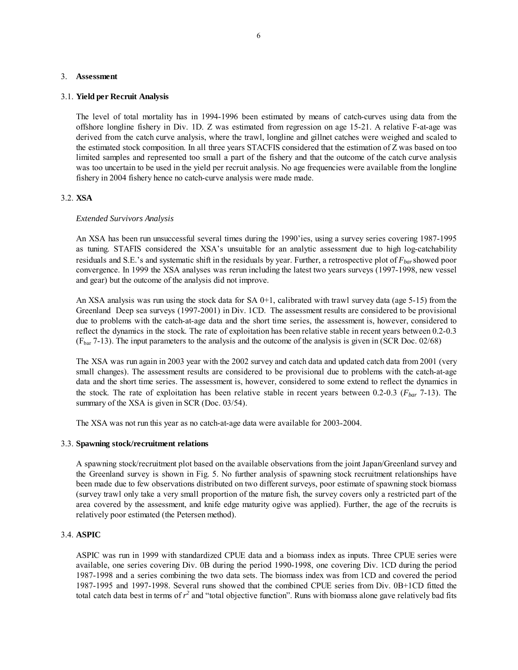#### 3. **Assessment**

#### 3.1. **Yield per Recruit Analysis**

The level of total mortality has in 1994-1996 been estimated by means of catch-curves using data from the offshore longline fishery in Div. 1D. Z was estimated from regression on age 15-21. A relative F-at-age was derived from the catch curve analysis, where the trawl, longline and gillnet catches were weighed and scaled to the estimated stock composition. In all three years STACFIS considered that the estimation of Z was based on too limited samples and represented too small a part of the fishery and that the outcome of the catch curve analysis was too uncertain to be used in the yield per recruit analysis. No age frequencies were available from the longline fishery in 2004 fishery hence no catch-curve analysis were made made.

## 3.2. **XSA**

#### *Extended Survivors Analysis*

An XSA has been run unsuccessful several times during the 1990'ies, using a survey series covering 1987-1995 as tuning. STAFIS considered the XSA's unsuitable for an analytic assessment due to high log-catchability residuals and S.E.'s and systematic shift in the residuals by year. Further, a retrospective plot of *Fbar*showed poor convergence. In 1999 the XSA analyses was rerun including the latest two years surveys (1997-1998, new vessel and gear) but the outcome of the analysis did not improve.

An XSA analysis was run using the stock data for SA 0+1, calibrated with trawl survey data (age 5-15) from the Greenland Deep sea surveys (1997-2001) in Div. 1CD. The assessment results are considered to be provisional due to problems with the catch-at-age data and the short time series, the assessment is, however, considered to reflect the dynamics in the stock. The rate of exploitation has been relative stable in recent years between 0.2-0.3 ( $F<sub>bar</sub>$  7-13). The input parameters to the analysis and the outcome of the analysis is given in (SCR Doc. 02/68)

The XSA was run again in 2003 year with the 2002 survey and catch data and updated catch data from 2001 (very small changes). The assessment results are considered to be provisional due to problems with the catch-at-age data and the short time series. The assessment is, however, considered to some extend to reflect the dynamics in the stock. The rate of exploitation has been relative stable in recent years between 0.2-0.3 (*Fbar* 7-13). The summary of the XSA is given in SCR (Doc. 03/54).

The XSA was not run this year as no catch-at-age data were available for 2003-2004.

#### 3.3. **Spawning stock/recruitment relations**

A spawning stock/recruitment plot based on the available observations from the joint Japan/Greenland survey and the Greenland survey is shown in Fig. 5. No further analysis of spawning stock recruitment relationships have been made due to few observations distributed on two different surveys, poor estimate of spawning stock biomass (survey trawl only take a very small proportion of the mature fish, the survey covers only a restricted part of the area covered by the assessment, and knife edge maturity ogive was applied). Further, the age of the recruits is relatively poor estimated (the Petersen method).

## 3.4. **ASPIC**

ASPIC was run in 1999 with standardized CPUE data and a biomass index as inputs. Three CPUE series were available, one series covering Div. 0B during the period 1990-1998, one covering Div. 1CD during the period 1987-1998 and a series combining the two data sets. The biomass index was from 1CD and covered the period 1987-1995 and 1997-1998. Several runs showed that the combined CPUE series from Div. 0B+1CD fitted the total catch data best in terms of  $r^2$  and "total objective function". Runs with biomass alone gave relatively bad fits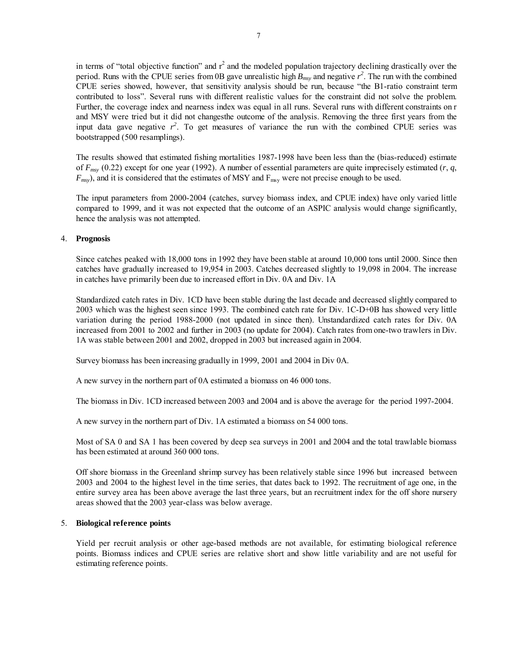in terms of "total objective function" and  $r^2$  and the modeled population trajectory declining drastically over the period. Runs with the CPUE series from 0B gave unrealistic high  $B_{msy}$  and negative  $r^2$ . The run with the combined CPUE series showed, however, that sensitivity analysis should be run, because "the B1-ratio constraint term contributed to loss". Several runs with different realistic values for the constraint did not solve the problem. Further, the coverage index and nearness index was equal in all runs. Several runs with different constraints on r and MSY were tried but it did not changesthe outcome of the analysis. Removing the three first years from the input data gave negative  $r^2$ . To get measures of variance the run with the combined CPUE series was bootstrapped (500 resamplings).

The results showed that estimated fishing mortalities 1987-1998 have been less than the (bias-reduced) estimate of  $F_{msv}$  (0.22) except for one year (1992). A number of essential parameters are quite imprecisely estimated  $(r, q, \bar{r})$  $F_{msy}$ ), and it is considered that the estimates of MSY and  $F_{msy}$  were not precise enough to be used.

The input parameters from 2000-2004 (catches, survey biomass index, and CPUE index) have only varied little compared to 1999, and it was not expected that the outcome of an ASPIC analysis would change significantly, hence the analysis was not attempted.

## 4. **Prognosis**

Since catches peaked with 18,000 tons in 1992 they have been stable at around 10,000 tons until 2000. Since then catches have gradually increased to 19,954 in 2003. Catches decreased slightly to 19,098 in 2004. The increase in catches have primarily been due to increased effort in Div. 0A and Div. 1A

Standardized catch rates in Div. 1CD have been stable during the last decade and decreased slightly compared to 2003 which was the highest seen since 1993. The combined catch rate for Div. 1C-D+0B has showed very little variation during the period 1988-2000 (not updated in since then). Unstandardized catch rates for Div. 0A increased from 2001 to 2002 and further in 2003 (no update for 2004). Catch rates from one-two trawlers in Div. 1A was stable between 2001 and 2002, dropped in 2003 but increased again in 2004.

Survey biomass has been increasing gradually in 1999, 2001 and 2004 in Div 0A.

A new survey in the northern part of 0A estimated a biomass on 46 000 tons.

The biomass in Div. 1CD increased between 2003 and 2004 and is above the average for the period 1997-2004.

A new survey in the northern part of Div. 1A estimated a biomass on 54 000 tons.

Most of SA 0 and SA 1 has been covered by deep sea surveys in 2001 and 2004 and the total trawlable biomass has been estimated at around 360 000 tons.

Off shore biomass in the Greenland shrimp survey has been relatively stable since 1996 but increased between 2003 and 2004 to the highest level in the time series, that dates back to 1992. The recruitment of age one, in the entire survey area has been above average the last three years, but an recruitment index for the off shore nursery areas showed that the 2003 year-class was below average.

## 5. **Biological reference points**

Yield per recruit analysis or other age-based methods are not available, for estimating biological reference points. Biomass indices and CPUE series are relative short and show little variability and are not useful for estimating reference points.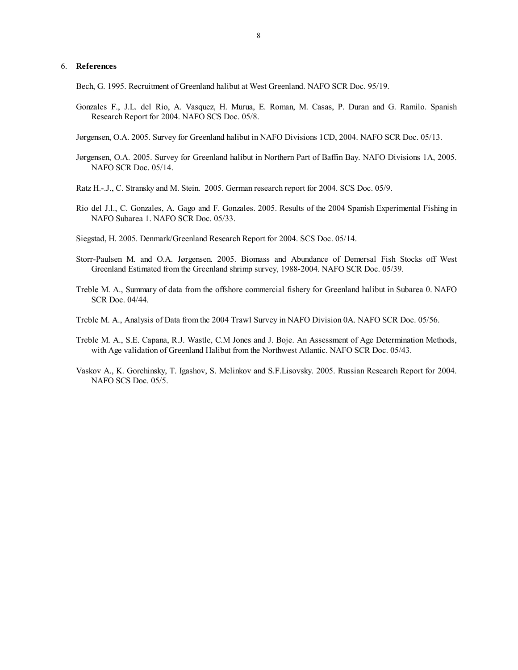#### 6. **References**

Bech, G. 1995. Recruitment of Greenland halibut at West Greenland. NAFO SCR Doc. 95/19.

Gonzales F., J.L. del Rio, A. Vasquez, H. Murua, E. Roman, M. Casas, P. Duran and G. Ramilo. Spanish Research Report for 2004. NAFO SCS Doc. 05/8.

Jørgensen, O.A. 2005. Survey for Greenland halibut in NAFO Divisions 1CD, 2004. NAFO SCR Doc. 05/13.

- Jørgensen, O.A. 2005. Survey for Greenland halibut in Northern Part of Baffin Bay. NAFO Divisions 1A, 2005. NAFO SCR Doc. 05/14.
- Ratz H.-.J., C. Stransky and M. Stein. 2005. German research report for 2004. SCS Doc. 05/9.
- Rio del J.l., C. Gonzales, A. Gago and F. Gonzales. 2005. Results of the 2004 Spanish Experimental Fishing in NAFO Subarea 1. NAFO SCR Doc. 05/33.
- Siegstad, H. 2005. Denmark/Greenland Research Report for 2004. SCS Doc. 05/14.
- Storr-Paulsen M. and O.A. Jørgensen. 2005. Biomass and Abundance of Demersal Fish Stocks off West Greenland Estimated from the Greenland shrimp survey, 1988-2004. NAFO SCR Doc. 05/39.
- Treble M. A., Summary of data from the offshore commercial fishery for Greenland halibut in Subarea 0. NAFO SCR Doc. 04/44.
- Treble M. A., Analysis of Data from the 2004 Trawl Survey in NAFO Division 0A. NAFO SCR Doc. 05/56.
- Treble M. A., S.E. Capana, R.J. Wastle, C.M Jones and J. Boje. An Assessment of Age Determination Methods, with Age validation of Greenland Halibut from the Northwest Atlantic. NAFO SCR Doc. 05/43.
- Vaskov A., K. Gorchinsky, T. Igashov, S. Melinkov and S.F.Lisovsky. 2005. Russian Research Report for 2004. NAFO SCS Doc. 05/5.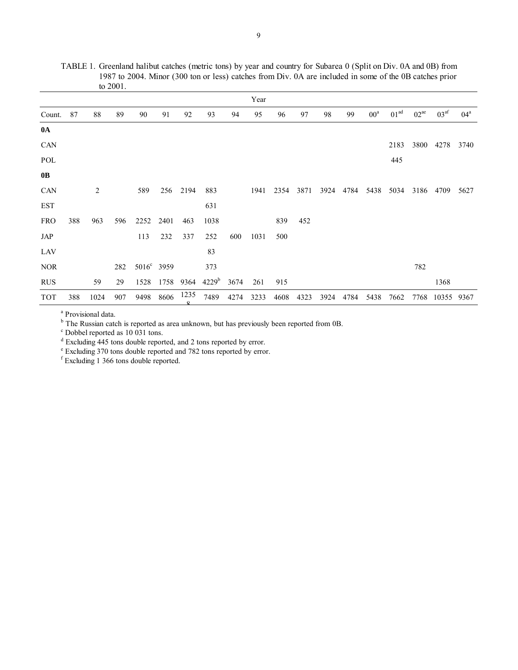TABLE 1. Greenland halibut catches (metric tons) by year and country for Subarea 0 (Split on Div. 0A and 0B) from 1987 to 2004. Minor (300 ton or less) catches from Div. 0A are included in some of the 0B catches prior to 2001.

|             |     |      |     |                        |      |           |                   |      | Year |      |      |      |      |        |                  |           |                  |              |
|-------------|-----|------|-----|------------------------|------|-----------|-------------------|------|------|------|------|------|------|--------|------------------|-----------|------------------|--------------|
| Count.      | 87  | 88   | 89  | 90                     | 91   | 92        | 93                | 94   | 95   | 96   | 97   | 98   | 99   | $00^a$ | 01 <sup>ad</sup> | $02^{ae}$ | 03 <sup>af</sup> | $04^{\rm a}$ |
| $0\text{A}$ |     |      |     |                        |      |           |                   |      |      |      |      |      |      |        |                  |           |                  |              |
| CAN         |     |      |     |                        |      |           |                   |      |      |      |      |      |      |        | 2183             | 3800      | 4278             | 3740         |
| POL         |     |      |     |                        |      |           |                   |      |      |      |      |      |      |        | 445              |           |                  |              |
| 0B          |     |      |     |                        |      |           |                   |      |      |      |      |      |      |        |                  |           |                  |              |
| CAN         |     | 2    |     | 589                    |      | 256 2194  | 883               |      | 1941 | 2354 | 3871 | 3924 | 4784 | 5438   | 5034             | 3186      | 4709             | 5627         |
| <b>EST</b>  |     |      |     |                        |      |           | 631               |      |      |      |      |      |      |        |                  |           |                  |              |
| <b>FRO</b>  | 388 | 963  | 596 | 2252                   | 2401 | 463       | 1038              |      |      | 839  | 452  |      |      |        |                  |           |                  |              |
| JAP         |     |      |     | 113                    | 232  | 337       | 252               | 600  | 1031 | 500  |      |      |      |        |                  |           |                  |              |
| LAV         |     |      |     |                        |      |           | 83                |      |      |      |      |      |      |        |                  |           |                  |              |
| <b>NOR</b>  |     |      | 282 | 5016 <sup>c</sup> 3959 |      |           | 373               |      |      |      |      |      |      |        |                  | 782       |                  |              |
| <b>RUS</b>  |     | 59   | 29  | 1528                   | 1758 | 9364      | 4229 <sup>b</sup> | 3674 | 261  | 915  |      |      |      |        |                  |           | 1368             |              |
| <b>TOT</b>  | 388 | 1024 | 907 | 9498                   | 8606 | 1235<br>O | 7489              | 4274 | 3233 | 4608 | 4323 | 3924 | 4784 | 5438   | 7662             | 7768      | 10355            | 9367         |

a Provisional data.

<sup>b</sup> The Russian catch is reported as area unknown, but has previously been reported from 0B.

c Dobbel reported as 10 031 tons.

<sup>d</sup> Excluding 445 tons double reported, and 2 tons reported by error.<br>
<sup>e</sup> Excluding 370 tons double reported and 782 tons reported by error.<br>
<sup>f</sup> Excluding 1 366 tons double reported.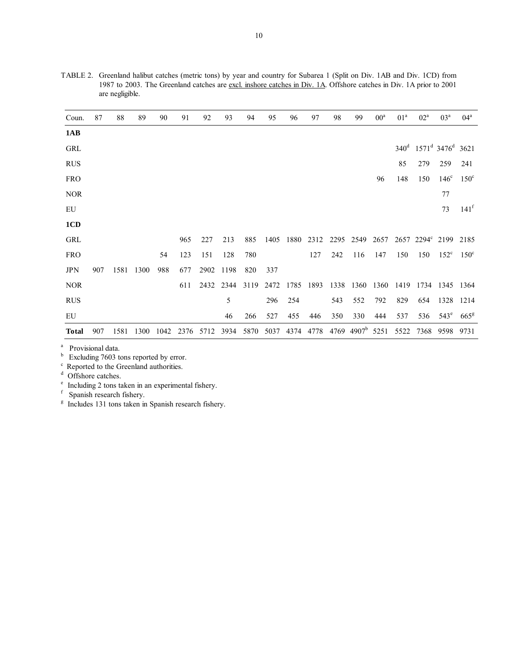| Coun.        | 87  | 88   | 89   | 90   | 91   | 92   | 93   | 94   | 95   | 96   | 97   | 98   | 99             | $00^a$ | 01 <sup>a</sup> | $02^a$ | 03 <sup>a</sup>                                  | $04^{\rm a}$     |
|--------------|-----|------|------|------|------|------|------|------|------|------|------|------|----------------|--------|-----------------|--------|--------------------------------------------------|------------------|
| 1AB          |     |      |      |      |      |      |      |      |      |      |      |      |                |        |                 |        |                                                  |                  |
| GRL          |     |      |      |      |      |      |      |      |      |      |      |      |                |        |                 |        | $340^d$ 1571 <sup>d</sup> 3476 <sup>d</sup> 3621 |                  |
| <b>RUS</b>   |     |      |      |      |      |      |      |      |      |      |      |      |                |        | 85              | 279    | 259                                              | 241              |
| <b>FRO</b>   |     |      |      |      |      |      |      |      |      |      |      |      |                | 96     | 148             | 150    | $146^\circ$                                      | $150^{\circ}$    |
| <b>NOR</b>   |     |      |      |      |      |      |      |      |      |      |      |      |                |        |                 |        | 77                                               |                  |
| EU           |     |      |      |      |      |      |      |      |      |      |      |      |                |        |                 |        | 73                                               | 141 <sup>f</sup> |
| 1CD          |     |      |      |      |      |      |      |      |      |      |      |      |                |        |                 |        |                                                  |                  |
| GRL          |     |      |      |      | 965  | 227  | 213  | 885  | 1405 | 1880 | 2312 | 2295 | 2549           | 2657   |                 |        | 2657 2294° 2199 2185                             |                  |
| <b>FRO</b>   |     |      |      | 54   | 123  | 151  | 128  | 780  |      |      | 127  | 242  | 116            | 147    | 150             | 150    | $152^{\circ}$                                    | $150^{\circ}$    |
| <b>JPN</b>   | 907 | 1581 | 1300 | 988  | 677  | 2902 | 1198 | 820  | 337  |      |      |      |                |        |                 |        |                                                  |                  |
| <b>NOR</b>   |     |      |      |      | 611  | 2432 | 2344 | 3119 | 2472 | 1785 | 1893 |      | 1338 1360      | 1360   | 1419            |        | 1734 1345 1364                                   |                  |
| <b>RUS</b>   |     |      |      |      |      |      | 5    |      | 296  | 254  |      | 543  | 552            | 792    | 829             | 654    | 1328                                             | 1214             |
| EU           |     |      |      |      |      |      | 46   | 266  | 527  | 455  | 446  | 350  | 330            | 444    | 537             | 536    | $543^e$                                          | 665 <sup>g</sup> |
| <b>Total</b> | 907 | 1581 | 1300 | 1042 | 2376 | 5712 | 3934 | 5870 | 5037 | 4374 | 4778 | 4769 | $4907^{\rm b}$ | 5251   | 5522            | 7368   | 9598                                             | 9731             |

TABLE 2. Greenland halibut catches (metric tons) by year and country for Subarea 1 (Split on Div. 1AB and Div. 1CD) from 1987 to 2003. The Greenland catches are excl. inshore catches in Div. 1A. Offshore catches in Div. 1A prior to 2001 are negligible.

a Provisional data.

 $<sup>b</sup>$  Excluding 7603 tons reported by error.</sup>

c Reported to the Greenland authorities.

d Offshore catches.

e Including 2 tons taken in an experimental fishery.

f Spanish research fishery.

<sup>g</sup> Includes 131 tons taken in Spanish research fishery.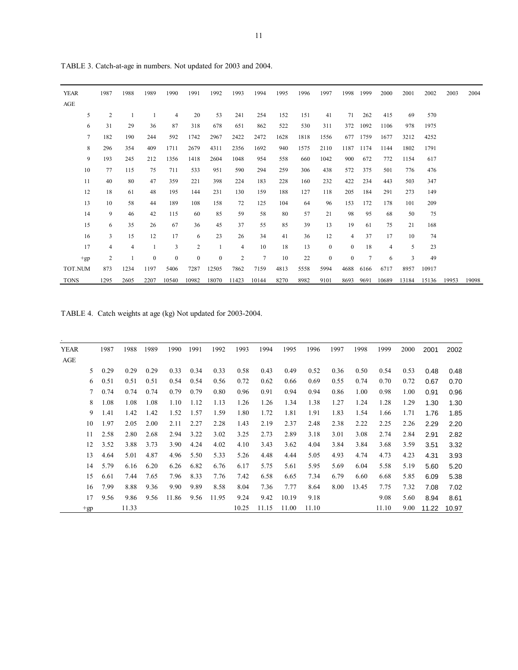| <b>YEAR</b> | 1987 | 1988 | 1989         | 1990         | 1991           | 1992         | 1993           | 1994           | 1995 | 1996 | 1997         | 1998           | 1999   | 2000           | 2001  | 2002  | 2003  | 2004  |
|-------------|------|------|--------------|--------------|----------------|--------------|----------------|----------------|------|------|--------------|----------------|--------|----------------|-------|-------|-------|-------|
| AGE         |      |      |              |              |                |              |                |                |      |      |              |                |        |                |       |       |       |       |
| 5           | 2    |      |              | 4            | 20             | 53           | 241            | 254            | 152  | 151  | 41           | 71             | 262    | 415            | 69    | 570   |       |       |
| 6           | 31   | 29   | 36           | 87           | 318            | 678          | 651            | 862            | 522  | 530  | 311          | 372            | 1092   | 1106           | 978   | 1975  |       |       |
| $\tau$      | 182  | 190  | 244          | 592          | 1742           | 2967         | 2422           | 2472           | 1628 | 1818 | 1556         | 677            | 1759   | 1677           | 3212  | 4252  |       |       |
| 8           | 296  | 354  | 409          | 1711         | 2679           | 4311         | 2356           | 1692           | 940  | 1575 | 2110         | 1187           | 1174   | 1144           | 1802  | 1791  |       |       |
| 9           | 193  | 245  | 212          | 1356         | 1418           | 2604         | 1048           | 954            | 558  | 660  | 1042         | 900            | 672    | 772            | 1154  | 617   |       |       |
| 10          | 77   | 115  | 75           | 711          | 533            | 951          | 590            | 294            | 259  | 306  | 438          | 572            | 375    | 501            | 776   | 476   |       |       |
| 11          | 40   | 80   | 47           | 359          | 221            | 398          | 224            | 183            | 228  | 160  | 232          | 422            | 234    | 443            | 503   | 347   |       |       |
| 12          | 18   | 61   | 48           | 195          | 144            | 231          | 130            | 159            | 188  | 127  | 118          | 205            | 184    | 291            | 273   | 149   |       |       |
| 13          | 10   | 58   | 44           | 189          | 108            | 158          | 72             | 125            | 104  | 64   | 96           | 153            | 172    | 178            | 101   | 209   |       |       |
| 14          | 9    | 46   | 42           | 115          | 60             | 85           | 59             | 58             | 80   | 57   | 21           | 98             | 95     | 68             | 50    | 75    |       |       |
| 15          | 6    | 35   | 26           | 67           | 36             | 45           | 37             | 55             | 85   | 39   | 13           | 19             | 61     | 75             | 21    | 168   |       |       |
| 16          | 3    | 15   | 12           | 17           | 6              | 23           | 26             | 34             | 41   | 36   | 12           | 4              | 37     | 17             | 10    | 74    |       |       |
| 17          | 4    | 4    | 1            | 3            | $\overline{2}$ | 1            | $\overline{4}$ | 10             | 18   | 13   | $\mathbf{0}$ | $\overline{0}$ | 18     | $\overline{4}$ | 5     | 23    |       |       |
| $+gp$       | 2    |      | $\mathbf{0}$ | $\mathbf{0}$ | $\mathbf{0}$   | $\mathbf{0}$ | $\overline{2}$ | $\overline{7}$ | 10   | 22   | $\mathbf{0}$ | $\theta$       | $\tau$ | 6              | 3     | 49    |       |       |
| TOT.NUM     | 873  | 1234 | 1197         | 5406         | 7287           | 12505        | 7862           | 7159           | 4813 | 5558 | 5994         | 4688           | 6166   | 6717           | 8957  | 10917 |       |       |
| <b>TONS</b> | 1295 | 2605 | 2207         | 10540        | 10982          | 18070        | 11423          | 10144          | 8270 | 8982 | 9101         | 8693           | 9691   | 10689          | 13184 | 15136 | 19953 | 19098 |

TABLE 3. Catch-at-age in numbers. Not updated for 2003 and 2004.

TABLE 4. Catch weights at age (kg) Not updated for 2003-2004.

| <b>YEAR</b> |       | 1987 | 1988  | 1989 | 1990  | 1991 | 1992  | 1993  | 1994  | 1995  | 1996  | 1997 | 1998  | 1999  | 2000 | 2001  | 2002  |
|-------------|-------|------|-------|------|-------|------|-------|-------|-------|-------|-------|------|-------|-------|------|-------|-------|
| AGE         |       |      |       |      |       |      |       |       |       |       |       |      |       |       |      |       |       |
|             | 5.    | 0.29 | 0.29  | 0.29 | 0.33  | 0.34 | 0.33  | 0.58  | 0.43  | 0.49  | 0.52  | 0.36 | 0.50  | 0.54  | 0.53 | 0.48  | 0.48  |
|             | 6     | 0.51 | 0.51  | 0.51 | 0.54  | 0.54 | 0.56  | 0.72  | 0.62  | 0.66  | 0.69  | 0.55 | 0.74  | 0.70  | 0.72 | 0.67  | 0.70  |
|             | 7     | 0.74 | 0.74  | 0.74 | 0.79  | 0.79 | 0.80  | 0.96  | 0.91  | 0.94  | 0.94  | 0.86 | 1.00  | 0.98  | 1.00 | 0.91  | 0.96  |
|             | 8     | 1.08 | 1.08  | 1.08 | 1.10  | 1.12 | 1.13  | 1.26  | 1.26  | 1.34  | 1.38  | 1.27 | 1.24  | 1.28  | 1.29 | 1.30  | 1.30  |
|             | 9     | 1.41 | 1.42  | 1.42 | 1.52  | 1.57 | 1.59  | 1.80  | 1.72  | 1.81  | 1.91  | 1.83 | 1.54  | 1.66  | 1.71 | 1.76  | 1.85  |
|             | 10    | 1.97 | 2.05  | 2.00 | 2.11  | 2.27 | 2.28  | 1.43  | 2.19  | 2.37  | 2.48  | 2.38 | 2.22  | 2.25  | 2.26 | 2.29  | 2.20  |
|             | 11    | 2.58 | 2.80  | 2.68 | 2.94  | 3.22 | 3.02  | 3.25  | 2.73  | 2.89  | 3.18  | 3.01 | 3.08  | 2.74  | 2.84 | 2.91  | 2.82  |
|             | 12    | 3.52 | 3.88  | 3.73 | 3.90  | 4.24 | 4.02  | 4.10  | 3.43  | 3.62  | 4.04  | 3.84 | 3.84  | 3.68  | 3.59 | 3.51  | 3.32  |
|             | 13    | 4.64 | 5.01  | 4.87 | 4.96  | 5.50 | 5.33  | 5.26  | 4.48  | 4.44  | 5.05  | 4.93 | 4.74  | 4.73  | 4.23 | 4.31  | 3.93  |
|             | 14    | 5.79 | 6.16  | 6.20 | 6.26  | 6.82 | 6.76  | 6.17  | 5.75  | 5.61  | 5.95  | 5.69 | 6.04  | 5.58  | 5.19 | 5.60  | 5.20  |
|             | 15    | 6.61 | 7.44  | 7.65 | 7.96  | 8.33 | 7.76  | 7.42  | 6.58  | 6.65  | 7.34  | 6.79 | 6.60  | 6.68  | 5.85 | 6.09  | 5.38  |
|             | 16    | 7.99 | 8.88  | 9.36 | 9.90  | 9.89 | 8.58  | 8.04  | 7.36  | 7.77  | 8.64  | 8.00 | 13.45 | 7.75  | 7.32 | 7.08  | 7.02  |
|             | 17    | 9.56 | 9.86  | 9.56 | 11.86 | 9.56 | 11.95 | 9.24  | 9.42  | 10.19 | 9.18  |      |       | 9.08  | 5.60 | 8.94  | 8.61  |
|             | $+gp$ |      | 11.33 |      |       |      |       | 10.25 | 11.15 | 11.00 | 11.10 |      |       | 11.10 | 9.00 | 11.22 | 10.97 |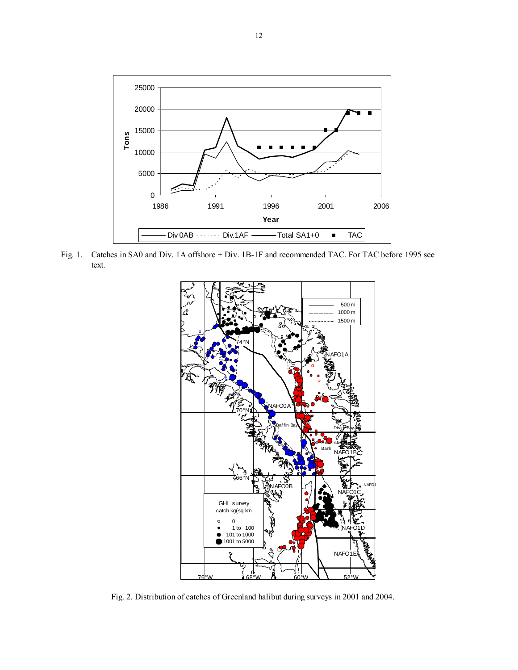

Fig. 1. Catches in SA0 and Div. 1A offshore + Div. 1B-1F and recommended TAC. For TAC before 1995 see text.



Fig. 2. Distribution of catches of Greenland halibut during surveys in 2001 and 2004.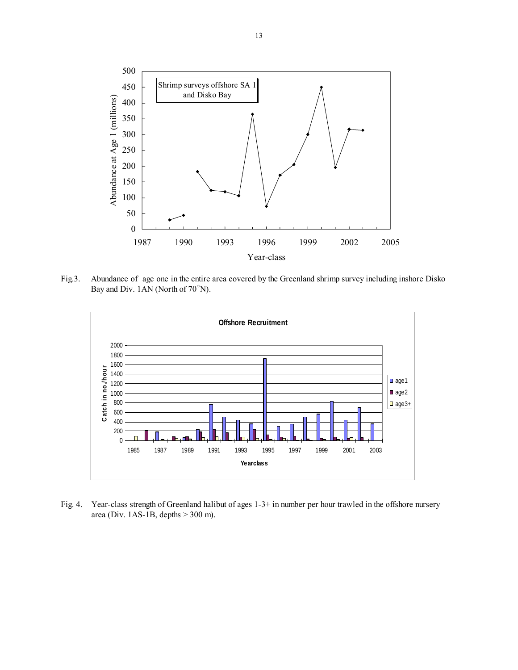

Fig.3. Abundance of age one in the entire area covered by the Greenland shrimp survey including inshore Disko Bay and Div. 1AN (North of 70°N).



Fig. 4. Year-class strength of Greenland halibut of ages 1-3+ in number per hour trawled in the offshore nursery area (Div. 1AS-1B, depths > 300 m).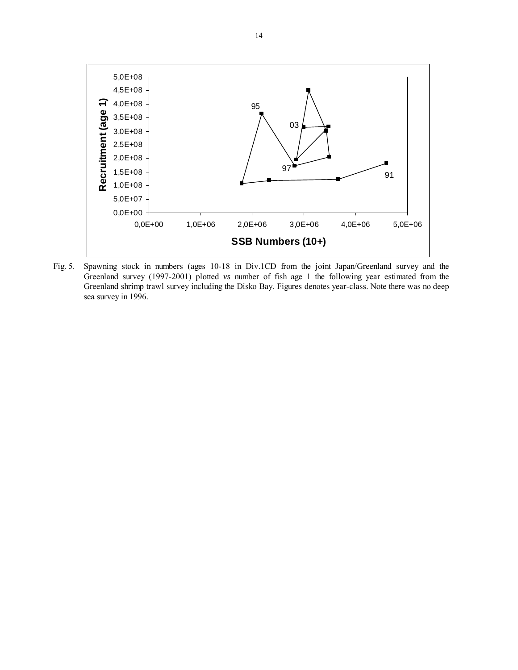

Fig. 5. Spawning stock in numbers (ages 10-18 in Div.1CD from the joint Japan/Greenland survey and the Greenland survey (1997-2001) plotted *vs* number of fish age 1 the following year estimated from the Greenland shrimp trawl survey including the Disko Bay. Figures denotes year-class. Note there was no deep sea survey in 1996.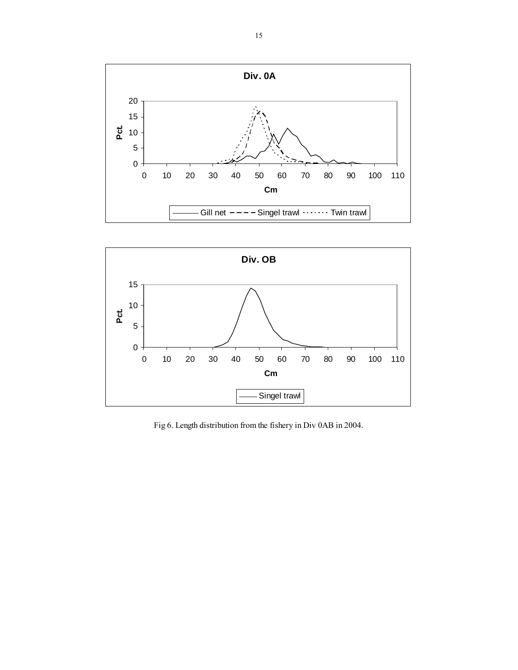



Fig 6. Length distribution from the fishery in Div 0AB in 2004.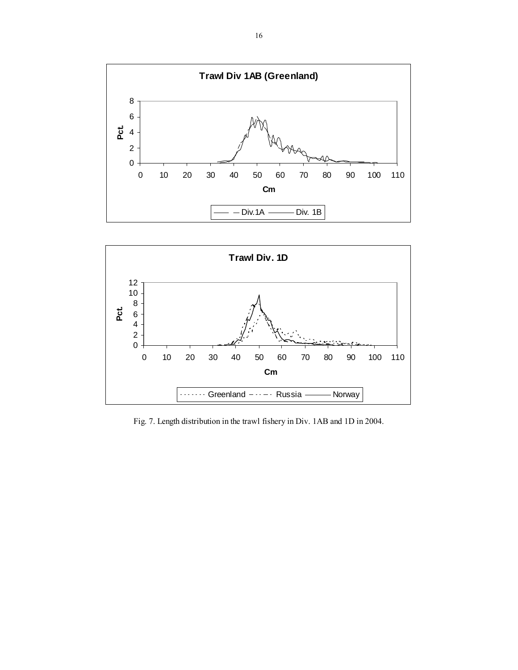



Fig. 7. Length distribution in the trawl fishery in Div. 1AB and 1D in 2004.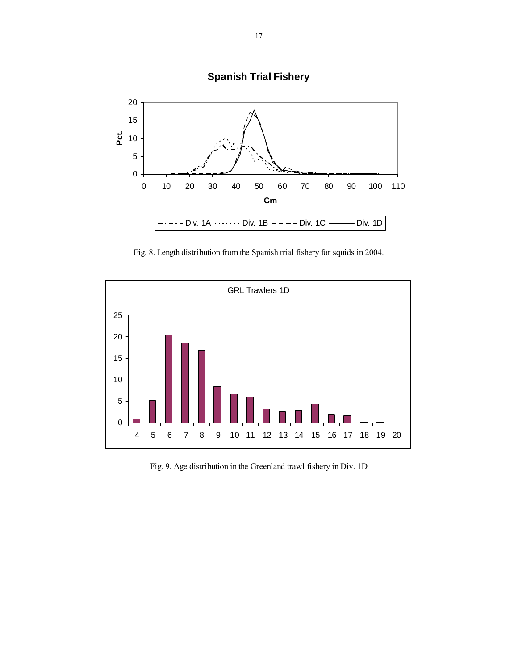

Fig. 8. Length distribution from the Spanish trial fishery for squids in 2004.



Fig. 9. Age distribution in the Greenland trawl fishery in Div. 1D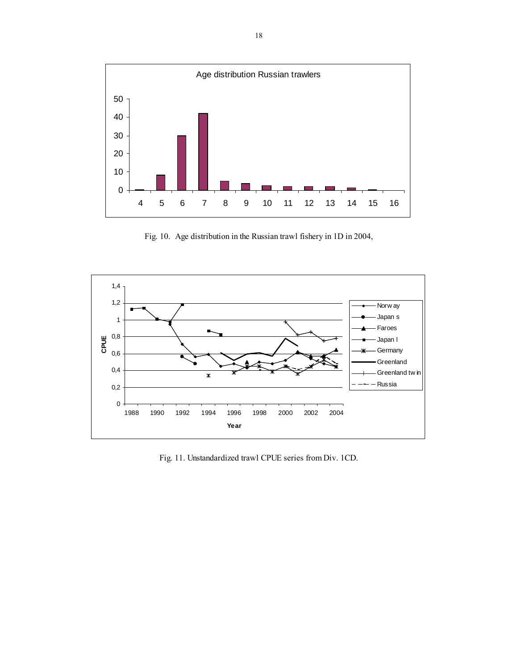

Fig. 10. Age distribution in the Russian trawl fishery in 1D in 2004,



Fig. 11. Unstandardized trawl CPUE series from Div. 1CD.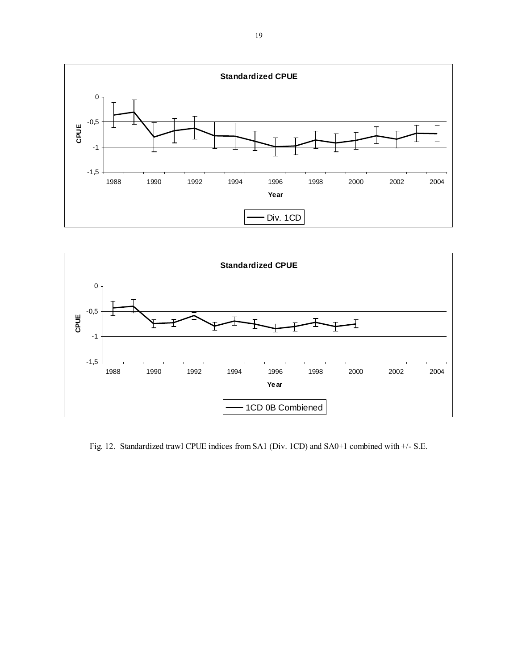



Fig. 12. Standardized trawl CPUE indices from SA1 (Div. 1CD) and SA0+1 combined with +/- S.E.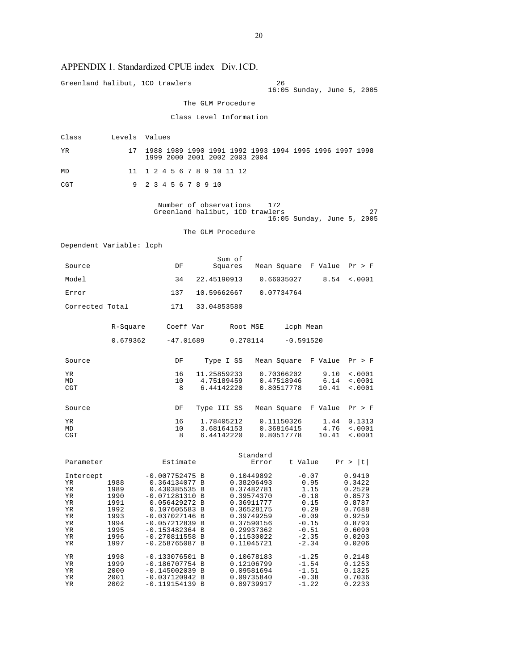# APPENDIX 1. Standardized CPUE index Div.1CD.

|                                                                       |                                                                              | Greenland halibut, 1CD trawlers                                                                                                                                                                              |                                                           | 26                                                                                                                                                     | 16:05 Sunday, June 5, 2005                                                                                |                                                                                                            |
|-----------------------------------------------------------------------|------------------------------------------------------------------------------|--------------------------------------------------------------------------------------------------------------------------------------------------------------------------------------------------------------|-----------------------------------------------------------|--------------------------------------------------------------------------------------------------------------------------------------------------------|-----------------------------------------------------------------------------------------------------------|------------------------------------------------------------------------------------------------------------|
|                                                                       |                                                                              |                                                                                                                                                                                                              | The GLM Procedure                                         |                                                                                                                                                        |                                                                                                           |                                                                                                            |
|                                                                       |                                                                              |                                                                                                                                                                                                              | Class Level Information                                   |                                                                                                                                                        |                                                                                                           |                                                                                                            |
|                                                                       |                                                                              |                                                                                                                                                                                                              |                                                           |                                                                                                                                                        |                                                                                                           |                                                                                                            |
| Class                                                                 |                                                                              | Levels Values                                                                                                                                                                                                |                                                           |                                                                                                                                                        |                                                                                                           |                                                                                                            |
| ΥR                                                                    | 17                                                                           | 1988 1989 1990 1991 1992 1993 1994 1995 1996 1997 1998<br>1999 2000 2001 2002 2003 2004                                                                                                                      |                                                           |                                                                                                                                                        |                                                                                                           |                                                                                                            |
| MD                                                                    | 11                                                                           | 1 2 4 5 6 7 8 9 10 11 12                                                                                                                                                                                     |                                                           |                                                                                                                                                        |                                                                                                           |                                                                                                            |
| CGT                                                                   | 9                                                                            | 2 3 4 5 6 7 8 9 10                                                                                                                                                                                           |                                                           |                                                                                                                                                        |                                                                                                           |                                                                                                            |
|                                                                       |                                                                              |                                                                                                                                                                                                              | Number of observations<br>Greenland halibut, 1CD trawlers | 172                                                                                                                                                    | 16:05 Sunday, June 5, 2005                                                                                | 27                                                                                                         |
|                                                                       |                                                                              |                                                                                                                                                                                                              | The GLM Procedure                                         |                                                                                                                                                        |                                                                                                           |                                                                                                            |
| Dependent Variable: lcph                                              |                                                                              |                                                                                                                                                                                                              |                                                           |                                                                                                                                                        |                                                                                                           |                                                                                                            |
| Source                                                                |                                                                              | DF                                                                                                                                                                                                           | Sum of<br>Squares                                         |                                                                                                                                                        | Mean Square F Value                                                                                       | Pr > F                                                                                                     |
| Model                                                                 |                                                                              | 34                                                                                                                                                                                                           | 22.45190913                                               | 0.66035027                                                                                                                                             | 8.54                                                                                                      | $\sim 0001$                                                                                                |
| Error                                                                 |                                                                              | 137                                                                                                                                                                                                          | 10.59662667                                               | 0.07734764                                                                                                                                             |                                                                                                           |                                                                                                            |
| Corrected Total                                                       |                                                                              | 171                                                                                                                                                                                                          | 33.04853580                                               |                                                                                                                                                        |                                                                                                           |                                                                                                            |
|                                                                       | R-Square                                                                     | Coeff Var                                                                                                                                                                                                    | Root MSE                                                  |                                                                                                                                                        | lcph Mean                                                                                                 |                                                                                                            |
|                                                                       | 0.679362                                                                     | $-47.01689$                                                                                                                                                                                                  | 0.278114                                                  |                                                                                                                                                        | $-0.591520$                                                                                               |                                                                                                            |
| Source                                                                |                                                                              | DF                                                                                                                                                                                                           | Type I SS                                                 |                                                                                                                                                        | Mean Square F Value                                                                                       | Pr > F                                                                                                     |
| ΥR<br>MD                                                              |                                                                              | 16<br>10                                                                                                                                                                                                     | 11.25859233<br>4.75189459<br>6.44142220                   | 0.70366202<br>0.47518946                                                                                                                               | 9.10<br>6.14                                                                                              | $\sim 0001$<br>$\sim 0001$                                                                                 |
| CGT                                                                   |                                                                              | 8                                                                                                                                                                                                            |                                                           | 0.80517778                                                                                                                                             | 10.41                                                                                                     | $\sim 0001$                                                                                                |
| Source                                                                |                                                                              | DF                                                                                                                                                                                                           | Type III SS                                               |                                                                                                                                                        | Mean Square F Value                                                                                       | Pr > F                                                                                                     |
| ΥR<br>MD                                                              |                                                                              | 16<br>10                                                                                                                                                                                                     | 1.78405212<br>3.68164153                                  | 0.11150326<br>0.36816415                                                                                                                               | 1.44<br>4.76                                                                                              | 0.1313<br>$\sim 0001$                                                                                      |
| CGT                                                                   |                                                                              | 8                                                                                                                                                                                                            | 6.44142220                                                | 0.80517778                                                                                                                                             | 10.41                                                                                                     | < .0001                                                                                                    |
|                                                                       |                                                                              |                                                                                                                                                                                                              |                                                           | Standard                                                                                                                                               |                                                                                                           |                                                                                                            |
| Parameter                                                             |                                                                              | Estimate                                                                                                                                                                                                     |                                                           | Error                                                                                                                                                  | t Value                                                                                                   | t <br>Pr >                                                                                                 |
| Intercept<br>ΥR<br>ΥR<br>ΥR<br>ΥR<br>ΥR<br>ΥR<br>ΥR<br>ΥR<br>ΥR<br>ΥR | 1988<br>1989<br>1990<br>1991<br>1992<br>1993<br>1994<br>1995<br>1996<br>1997 | $-0.007752475 B$<br>0.364134077 B<br>0.430385535 B<br>$-0.071281310 B$<br>0.056429272 B<br>0.107605583 B<br>$-0.037027146$ B<br>$-0.057212839 B$<br>$-0.153482364$ B<br>$-0.270811558$ B<br>$-0.258765087 B$ |                                                           | 0.10449892<br>0.38206493<br>0.37482781<br>0.39574370<br>0.36911777<br>0.36528175<br>0.39749259<br>0.37590156<br>0.29937362<br>0.11530022<br>0.11045721 | $-0.07$<br>0.95<br>1.15<br>$-0.18$<br>0.15<br>0.29<br>$-0.09$<br>$-0.15$<br>$-0.51$<br>$-2.35$<br>$-2.34$ | 0.9410<br>0.3422<br>0.2529<br>0.8573<br>0.8787<br>0.7688<br>0.9259<br>0.8793<br>0.6090<br>0.0203<br>0.0206 |
| ΥR<br>ΥR<br>ΥR<br>ΥR                                                  | 1998<br>1999<br>2000<br>2001                                                 | $-0.133076501$ B<br>$-0.186707754 B$<br>$-0.145002039$ B<br>$-0.037120942 B$                                                                                                                                 |                                                           | 0.10678183<br>0.12106799<br>0.09581694<br>0.09735840                                                                                                   | $-1.25$<br>$-1.54$<br>$-1.51$<br>$-0.38$                                                                  | 0.2148<br>0.1253<br>0.1325<br>0.7036                                                                       |

YR 2002 -0.119154139 B 0.09739917 -1.22 0.2233